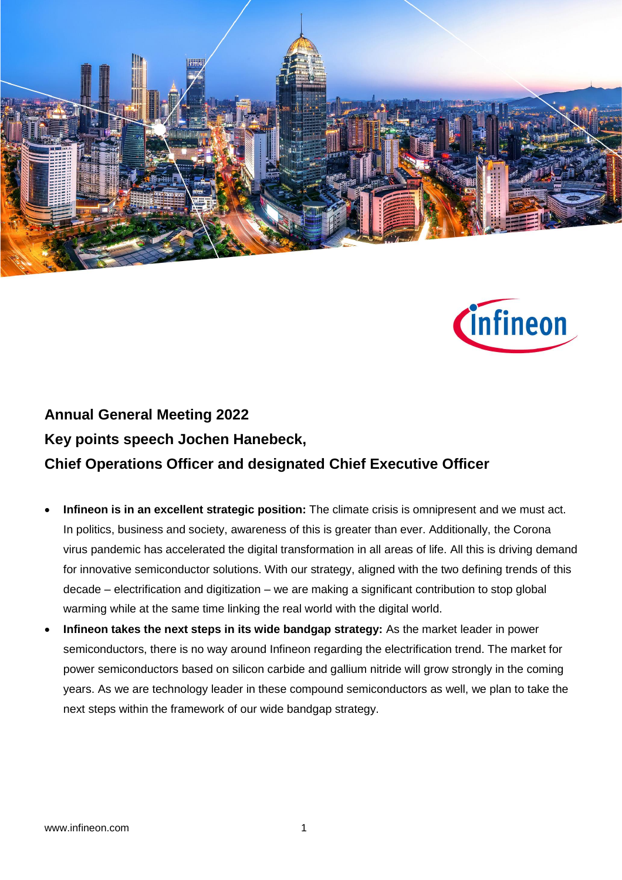



## **Annual General Meeting 2022 Key points speech Jochen Hanebeck, Chief Operations Officer and designated Chief Executive Officer**

- **Infineon is in an excellent strategic position:** The climate crisis is omnipresent and we must act. In politics, business and society, awareness of this is greater than ever. Additionally, the Corona virus pandemic has accelerated the digital transformation in all areas of life. All this is driving demand for innovative semiconductor solutions. With our strategy, aligned with the two defining trends of this decade – electrification and digitization – we are making a significant contribution to stop global warming while at the same time linking the real world with the digital world.
- **Infineon takes the next steps in its wide bandgap strategy:** As the market leader in power semiconductors, there is no way around Infineon regarding the electrification trend. The market for power semiconductors based on silicon carbide and gallium nitride will grow strongly in the coming years. As we are technology leader in these compound semiconductors as well, we plan to take the next steps within the framework of our wide bandgap strategy.